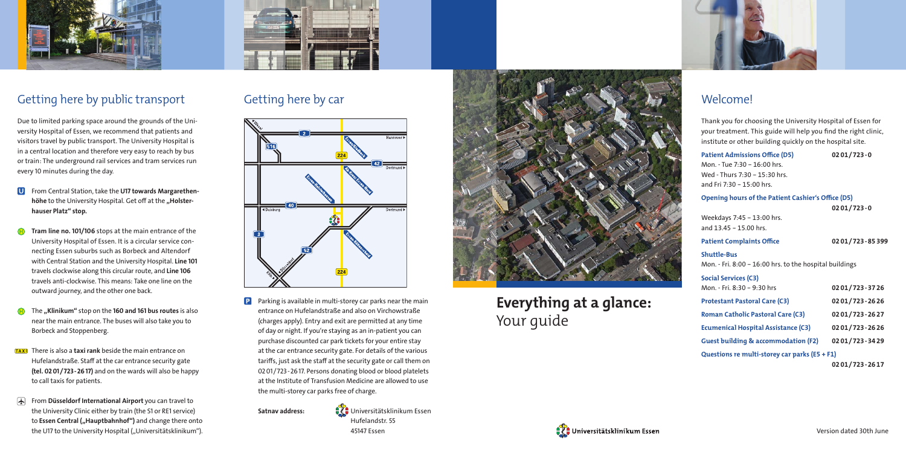Universitätsklinikum Essen Hufelandstr. 55 45147 Essen



# **Everything at a glance:** Your guide





#### **Welcome!**



## Getting here by public transport

Due to limited parking space around the grounds of the University Hospital of Essen, we recommend that patients and visitors travel by public transport. The University Hospital is in a central location and therefore very easy to reach by bus or train: The underground rail services and tram services run every 10 minutes during the day.

- **U** From Central Station, take the U17 towards Margarethenhöhe to the University Hospital. Get off at the "Holsterhauser Platz" stop.
- Tram line no. 101/106 stops at the main entrance of the University Hospital of Essen. It is a circular service connecting Essen suburbs such as Borbeck and Altendorf with Central Station and the University Hospital. Line 101 travels clockwise along this circular route, and Line 106 travels anti-clockwise. This means: Take one line on the outward journey, and the other one back.
- $\bigoplus$  The "Klinikum" stop on the 160 and 161 bus routes is also near the main entrance. The buses will also take you to Borbeck and Stoppenberg.
- **TAXI** There is also a **taxi rank** beside the main entrance on Hufelandstraße. Staff at the car entrance security gate (tel. 02 01/723-26 17) and on the wards will also be happy to call taxis for patients.
- From Düsseldorf International Airport you can travel to the University Clinic either by train (the S1 or RE1 service) to Essen Central ("Hauptbahnhof") and change there onto the U17 to the University Hospital ("Universitätsklinikum").



**P** Parking is available in multi-storey car parks near the main entrance on Hufelandstraße and also on Virchowstraße (charges apply). Entry and exit are permitted at any time of day or night. If you're staying as an in-patient you can purchase discounted car park tickets for your entire stay at the car entrance security gate. For details of the various tariffs, just ask the staff at the security gate or call them on 02 01/723-26 17. Persons donating blood or blood platelets at the Institute of Transfusion Medicine are allowed to use the multi-storey car parks free of charge.

Thank you for choosing the University Hospital of Essen for your treatment. This guide will help you find the right clinic, institute or other building quickly on the hospital site.

| <b>Patient Admissions Office (D5)</b>                     | 0201/723-0     |
|-----------------------------------------------------------|----------------|
| Mon. - Tue 7:30 - 16:00 hrs.                              |                |
| Wed - Thurs 7:30 - 15:30 hrs.                             |                |
| and Fri 7:30 - 15:00 hrs.                                 |                |
| <b>Opening hours of the Patient Cashier's Office (D5)</b> |                |
|                                                           | $0201/723 - 0$ |
| Weekdays 7:45 - 13:00 hrs.                                |                |
| and 13.45 - 15.00 hrs.                                    |                |
| <b>Patient Complaints Office</b>                          | 0201/723-85399 |
| <b>Shuttle-Bus</b>                                        |                |
| Mon. - Fri. 8:00 - 16:00 hrs. to the hospital buildings   |                |
| Social Services (C3)                                      |                |
| Mon. - Fri. 8:30 - 9:30 hrs                               | 0201/723-3726  |
| <b>Protestant Pastoral Care (C3)</b>                      | 0201/723-2626  |
| <b>Roman Catholic Pastoral Care (C3)</b>                  | 0201/723-2627  |
| <b>Ecumenical Hospital Assistance (C3)</b>                | 0201/723-2626  |
| <b>Guest building &amp; accommodation (F2)</b>            | 0201/723-3429  |
| Questions re multi-storey car parks (E5 + F1)             |                |
|                                                           | 0201/723-2617  |

## Getting here by car



Satnav address: